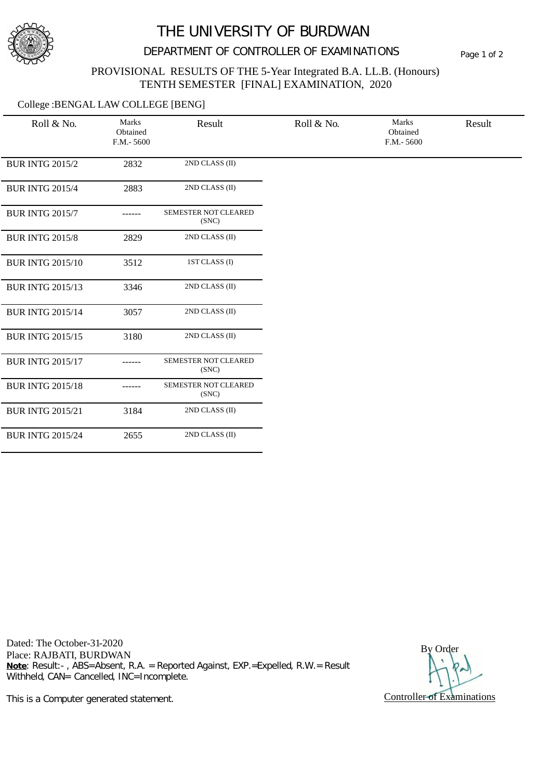

## THE UNIVERSITY OF BURDWAN

## DEPARTMENT OF CONTROLLER OF EXAMINATIONS Page 1 of 2

### PROVISIONAL RESULTS OF THE 5-Year Integrated B.A. LL.B. (Honours) TENTH SEMESTER [FINAL] EXAMINATION, 2020

### College :BENGAL LAW COLLEGE [BENG]

| Roll & No.              | Marks<br>Obtained<br>$F.M.-5600$ | Result                        | Roll & No. | Marks<br>Obtained<br>$F.M.-5600$ | Result |
|-------------------------|----------------------------------|-------------------------------|------------|----------------------------------|--------|
| <b>BUR INTG 2015/2</b>  | 2832                             | 2ND CLASS (II)                |            |                                  |        |
| <b>BUR INTG 2015/4</b>  | 2883                             | 2ND CLASS (II)                |            |                                  |        |
| <b>BUR INTG 2015/7</b>  |                                  | SEMESTER NOT CLEARED<br>(SNC) |            |                                  |        |
| <b>BUR INTG 2015/8</b>  | 2829                             | 2ND CLASS (II)                |            |                                  |        |
| <b>BUR INTG 2015/10</b> | 3512                             | 1ST CLASS (I)                 |            |                                  |        |
| <b>BUR INTG 2015/13</b> | 3346                             | 2ND CLASS (II)                |            |                                  |        |
| <b>BUR INTG 2015/14</b> | 3057                             | 2ND CLASS (II)                |            |                                  |        |
| <b>BUR INTG 2015/15</b> | 3180                             | 2ND CLASS (II)                |            |                                  |        |
| <b>BUR INTG 2015/17</b> |                                  | SEMESTER NOT CLEARED<br>(SNC) |            |                                  |        |
| <b>BUR INTG 2015/18</b> |                                  | SEMESTER NOT CLEARED<br>(SNC) |            |                                  |        |
| <b>BUR INTG 2015/21</b> | 3184                             | 2ND CLASS (II)                |            |                                  |        |
| <b>BUR INTG 2015/24</b> | 2655                             | 2ND CLASS (II)                |            |                                  |        |

Dated: The October-31-2020 Place: RAJBATI, BURDWAN **Note**: Result:- , ABS=Absent, R.A. = Reported Against, EXP.=Expelled, R.W.= Result Withheld, CAN= Cancelled, INC=Incomplete.

By Order Controller of Examinations

This is a Computer generated statement.